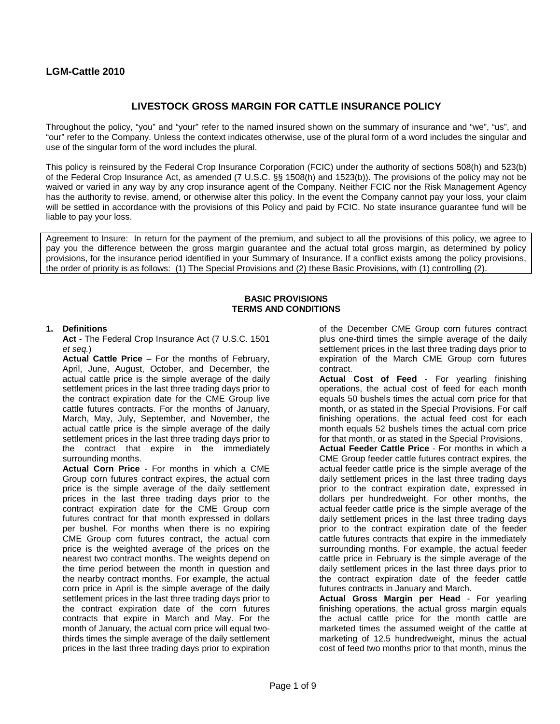# **LGM-Cattle 2010**

# **LIVESTOCK GROSS MARGIN FOR CATTLE INSURANCE POLICY**

Throughout the policy, "you" and "your" refer to the named insured shown on the summary of insurance and "we", "us", and "our" refer to the Company. Unless the context indicates otherwise, use of the plural form of a word includes the singular and use of the singular form of the word includes the plural.

This policy is reinsured by the Federal Crop Insurance Corporation (FCIC) under the authority of sections 508(h) and 523(b) of the Federal Crop Insurance Act, as amended (7 U.S.C. §§ 1508(h) and 1523(b)). The provisions of the policy may not be waived or varied in any way by any crop insurance agent of the Company. Neither FCIC nor the Risk Management Agency has the authority to revise, amend, or otherwise alter this policy. In the event the Company cannot pay your loss, your claim will be settled in accordance with the provisions of this Policy and paid by FCIC. No state insurance guarantee fund will be liable to pay your loss.

Agreement to Insure: In return for the payment of the premium, and subject to all the provisions of this policy, we agree to pay you the difference between the gross margin guarantee and the actual total gross margin, as determined by policy provisions, for the insurance period identified in your Summary of Insurance. If a conflict exists among the policy provisions, the order of priority is as follows: (1) The Special Provisions and (2) these Basic Provisions, with (1) controlling (2).

#### **BASIC PROVISIONS TERMS AND CONDITIONS**

### **1. Definitions**

**Act** - The Federal Crop Insurance Act (7 U.S.C. 1501 *et seq.*)

**Actual Cattle Price** – For the months of February, April, June, August, October, and December, the actual cattle price is the simple average of the daily settlement prices in the last three trading days prior to the contract expiration date for the CME Group live cattle futures contracts. For the months of January, March, May, July, September, and November, the actual cattle price is the simple average of the daily settlement prices in the last three trading days prior to the contract that expire in the immediately surrounding months.

**Actual Corn Price** - For months in which a CME Group corn futures contract expires, the actual corn price is the simple average of the daily settlement prices in the last three trading days prior to the contract expiration date for the CME Group corn futures contract for that month expressed in dollars per bushel. For months when there is no expiring CME Group corn futures contract, the actual corn price is the weighted average of the prices on the nearest two contract months. The weights depend on the time period between the month in question and the nearby contract months. For example, the actual corn price in April is the simple average of the daily settlement prices in the last three trading days prior to the contract expiration date of the corn futures contracts that expire in March and May. For the month of January, the actual corn price will equal twothirds times the simple average of the daily settlement prices in the last three trading days prior to expiration

of the December CME Group corn futures contract plus one-third times the simple average of the daily settlement prices in the last three trading days prior to expiration of the March CME Group corn futures contract.

**Actual Cost of Feed** - For yearling finishing operations, the actual cost of feed for each month equals 50 bushels times the actual corn price for that month, or as stated in the Special Provisions. For calf finishing operations, the actual feed cost for each month equals 52 bushels times the actual corn price for that month, or as stated in the Special Provisions.

**Actual Feeder Cattle Price** - For months in which a CME Group feeder cattle futures contract expires, the actual feeder cattle price is the simple average of the daily settlement prices in the last three trading days prior to the contract expiration date, expressed in dollars per hundredweight. For other months, the actual feeder cattle price is the simple average of the daily settlement prices in the last three trading days prior to the contract expiration date of the feeder cattle futures contracts that expire in the immediately surrounding months. For example, the actual feeder cattle price in February is the simple average of the daily settlement prices in the last three days prior to the contract expiration date of the feeder cattle futures contracts in January and March.

**Actual Gross Margin per Head** - For yearling finishing operations, the actual gross margin equals the actual cattle price for the month cattle are marketed times the assumed weight of the cattle at marketing of 12.5 hundredweight, minus the actual cost of feed two months prior to that month, minus the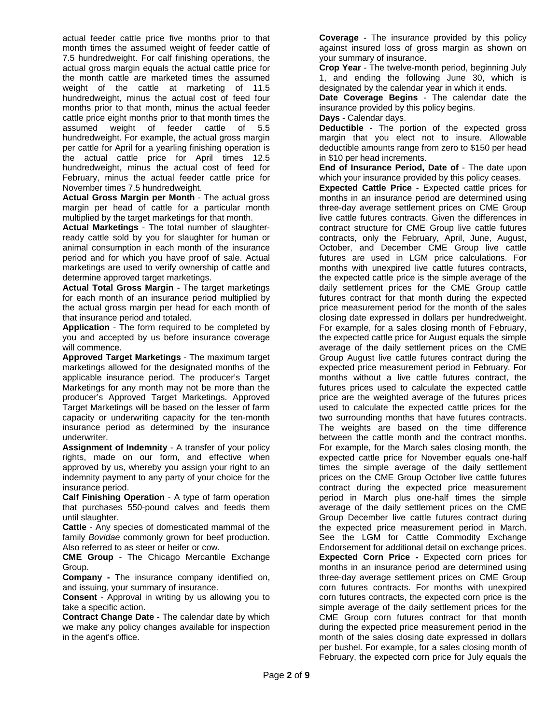actual feeder cattle price five months prior to that month times the assumed weight of feeder cattle of 7.5 hundredweight. For calf finishing operations, the actual gross margin equals the actual cattle price for the month cattle are marketed times the assumed weight of the cattle at marketing of 11.5 hundredweight, minus the actual cost of feed four months prior to that month, minus the actual feeder cattle price eight months prior to that month times the assumed weight of feeder cattle of 5.5 hundredweight. For example, the actual gross margin per cattle for April for a yearling finishing operation is the actual cattle price for April times 12.5 hundredweight, minus the actual cost of feed for February, minus the actual feeder cattle price for November times 7.5 hundredweight.

**Actual Gross Margin per Month** - The actual gross margin per head of cattle for a particular month multiplied by the target marketings for that month.

**Actual Marketings** - The total number of slaughterready cattle sold by you for slaughter for human or animal consumption in each month of the insurance period and for which you have proof of sale. Actual marketings are used to verify ownership of cattle and determine approved target marketings.

**Actual Total Gross Margin** - The target marketings for each month of an insurance period multiplied by the actual gross margin per head for each month of that insurance period and totaled.

**Application** - The form required to be completed by you and accepted by us before insurance coverage will commence.

**Approved Target Marketings** - The maximum target marketings allowed for the designated months of the applicable insurance period. The producer's Target Marketings for any month may not be more than the producer's Approved Target Marketings. Approved Target Marketings will be based on the lesser of farm capacity or underwriting capacity for the ten-month insurance period as determined by the insurance underwriter.

**Assignment of Indemnity** - A transfer of your policy rights, made on our form, and effective when approved by us, whereby you assign your right to an indemnity payment to any party of your choice for the insurance period.

**Calf Finishing Operation** - A type of farm operation that purchases 550-pound calves and feeds them until slaughter.

**Cattle** - Any species of domesticated mammal of the family *Bovidae* commonly grown for beef production. Also referred to as steer or heifer or cow.

**CME Group** - The Chicago Mercantile Exchange Group.

**Company -** The insurance company identified on, and issuing, your summary of insurance.

**Consent** - Approval in writing by us allowing you to take a specific action.

**Contract Change Date -** The calendar date by which we make any policy changes available for inspection in the agent's office.

**Coverage** - The insurance provided by this policy against insured loss of gross margin as shown on your summary of insurance.

**Crop Year** - The twelve-month period, beginning July 1, and ending the following June 30, which is designated by the calendar year in which it ends.

**Date Coverage Begins** - The calendar date the insurance provided by this policy begins.

**Days** - Calendar days.

**Deductible** - The portion of the expected gross margin that you elect not to insure. Allowable deductible amounts range from zero to \$150 per head in \$10 per head increments.

**End of Insurance Period, Date of** - The date upon which your insurance provided by this policy ceases.

**Expected Cattle Price** - Expected cattle prices for months in an insurance period are determined using three-day average settlement prices on CME Group live cattle futures contracts. Given the differences in contract structure for CME Group live cattle futures contracts, only the February, April, June, August, October, and December CME Group live cattle futures are used in LGM price calculations. For months with unexpired live cattle futures contracts, the expected cattle price is the simple average of the daily settlement prices for the CME Group cattle futures contract for that month during the expected price measurement period for the month of the sales closing date expressed in dollars per hundredweight. For example, for a sales closing month of February, the expected cattle price for August equals the simple average of the daily settlement prices on the CME Group August live cattle futures contract during the expected price measurement period in February. For months without a live cattle futures contract, the futures prices used to calculate the expected cattle price are the weighted average of the futures prices used to calculate the expected cattle prices for the two surrounding months that have futures contracts. The weights are based on the time difference between the cattle month and the contract months. For example, for the March sales closing month, the expected cattle price for November equals one-half times the simple average of the daily settlement prices on the CME Group October live cattle futures contract during the expected price measurement period in March plus one-half times the simple average of the daily settlement prices on the CME Group December live cattle futures contract during the expected price measurement period in March. See the LGM for Cattle Commodity Exchange Endorsement for additional detail on exchange prices. **Expected Corn Price -** Expected corn prices for months in an insurance period are determined using three-day average settlement prices on CME Group corn futures contracts. For months with unexpired corn futures contracts, the expected corn price is the simple average of the daily settlement prices for the CME Group corn futures contract for that month during the expected price measurement period in the month of the sales closing date expressed in dollars per bushel. For example, for a sales closing month of February, the expected corn price for July equals the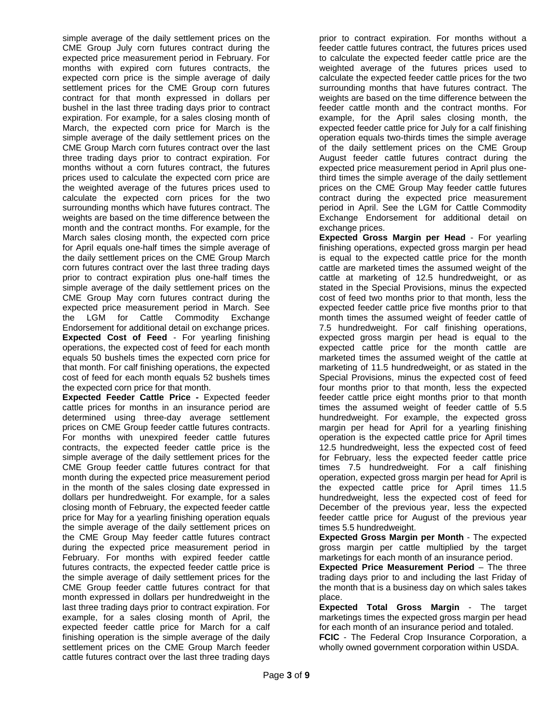simple average of the daily settlement prices on the CME Group July corn futures contract during the expected price measurement period in February. For months with expired corn futures contracts, the expected corn price is the simple average of daily settlement prices for the CME Group corn futures contract for that month expressed in dollars per bushel in the last three trading days prior to contract expiration. For example, for a sales closing month of March, the expected corn price for March is the simple average of the daily settlement prices on the CME Group March corn futures contract over the last three trading days prior to contract expiration. For months without a corn futures contract, the futures prices used to calculate the expected corn price are the weighted average of the futures prices used to calculate the expected corn prices for the two surrounding months which have futures contract. The weights are based on the time difference between the month and the contract months. For example, for the March sales closing month, the expected corn price for April equals one-half times the simple average of the daily settlement prices on the CME Group March corn futures contract over the last three trading days prior to contract expiration plus one-half times the simple average of the daily settlement prices on the CME Group May corn futures contract during the expected price measurement period in March. See the LGM for Cattle Commodity Exchange Endorsement for additional detail on exchange prices. **Expected Cost of Feed** - For yearling finishing operations, the expected cost of feed for each month equals 50 bushels times the expected corn price for that month. For calf finishing operations, the expected cost of feed for each month equals 52 bushels times the expected corn price for that month.

**Expected Feeder Cattle Price -** Expected feeder cattle prices for months in an insurance period are determined using three-day average settlement prices on CME Group feeder cattle futures contracts. For months with unexpired feeder cattle futures contracts, the expected feeder cattle price is the simple average of the daily settlement prices for the CME Group feeder cattle futures contract for that month during the expected price measurement period in the month of the sales closing date expressed in dollars per hundredweight. For example, for a sales closing month of February, the expected feeder cattle price for May for a yearling finishing operation equals the simple average of the daily settlement prices on the CME Group May feeder cattle futures contract during the expected price measurement period in February. For months with expired feeder cattle futures contracts, the expected feeder cattle price is the simple average of daily settlement prices for the CME Group feeder cattle futures contract for that month expressed in dollars per hundredweight in the last three trading days prior to contract expiration. For example, for a sales closing month of April, the expected feeder cattle price for March for a calf finishing operation is the simple average of the daily settlement prices on the CME Group March feeder cattle futures contract over the last three trading days

prior to contract expiration. For months without a feeder cattle futures contract, the futures prices used to calculate the expected feeder cattle price are the weighted average of the futures prices used to calculate the expected feeder cattle prices for the two surrounding months that have futures contract. The weights are based on the time difference between the feeder cattle month and the contract months. For example, for the April sales closing month, the expected feeder cattle price for July for a calf finishing operation equals two-thirds times the simple average of the daily settlement prices on the CME Group August feeder cattle futures contract during the expected price measurement period in April plus onethird times the simple average of the daily settlement prices on the CME Group May feeder cattle futures contract during the expected price measurement period in April. See the LGM for Cattle Commodity Exchange Endorsement for additional detail on exchange prices.

**Expected Gross Margin per Head** - For yearling finishing operations, expected gross margin per head is equal to the expected cattle price for the month cattle are marketed times the assumed weight of the cattle at marketing of 12.5 hundredweight, or as stated in the Special Provisions, minus the expected cost of feed two months prior to that month, less the expected feeder cattle price five months prior to that month times the assumed weight of feeder cattle of 7.5 hundredweight. For calf finishing operations, expected gross margin per head is equal to the expected cattle price for the month cattle are marketed times the assumed weight of the cattle at marketing of 11.5 hundredweight, or as stated in the Special Provisions, minus the expected cost of feed four months prior to that month, less the expected feeder cattle price eight months prior to that month times the assumed weight of feeder cattle of 5.5 hundredweight. For example, the expected gross margin per head for April for a yearling finishing operation is the expected cattle price for April times 12.5 hundredweight, less the expected cost of feed for February, less the expected feeder cattle price times 7.5 hundredweight. For a calf finishing operation, expected gross margin per head for April is the expected cattle price for April times 11.5 hundredweight, less the expected cost of feed for December of the previous year, less the expected feeder cattle price for August of the previous year times 5.5 hundredweight.

**Expected Gross Margin per Month** - The expected gross margin per cattle multiplied by the target marketings for each month of an insurance period.

**Expected Price Measurement Period – The three** trading days prior to and including the last Friday of the month that is a business day on which sales takes place.

**Expected Total Gross Margin** - The target marketings times the expected gross margin per head for each month of an insurance period and totaled.

**FCIC** - The Federal Crop Insurance Corporation, a wholly owned government corporation within USDA.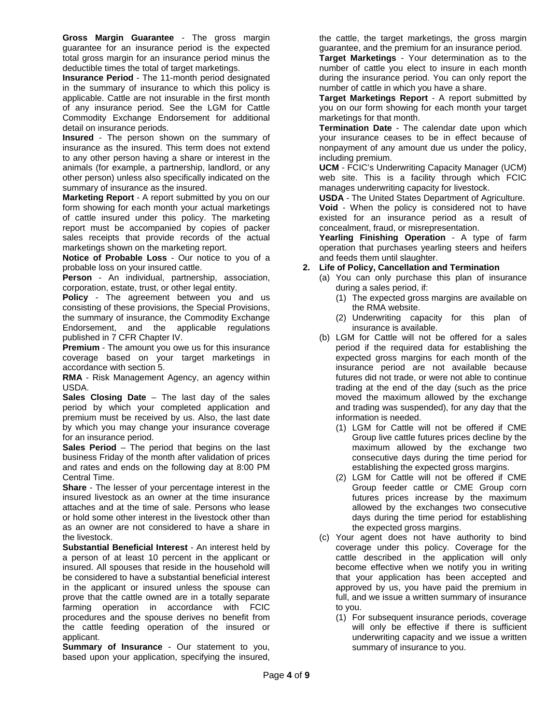**Gross Margin Guarantee** - The gross margin guarantee for an insurance period is the expected total gross margin for an insurance period minus the deductible times the total of target marketings.

**Insurance Period** - The 11-month period designated in the summary of insurance to which this policy is applicable. Cattle are not insurable in the first month of any insurance period. See the LGM for Cattle Commodity Exchange Endorsement for additional detail on insurance periods.

**Insured** - The person shown on the summary of insurance as the insured. This term does not extend to any other person having a share or interest in the animals (for example, a partnership, landlord, or any other person) unless also specifically indicated on the summary of insurance as the insured.

**Marketing Report** - A report submitted by you on our form showing for each month your actual marketings of cattle insured under this policy. The marketing report must be accompanied by copies of packer sales receipts that provide records of the actual marketings shown on the marketing report.

**Notice of Probable Loss** - Our notice to you of a probable loss on your insured cattle.

**Person** - An individual, partnership, association, corporation, estate, trust, or other legal entity.

**Policy** - The agreement between you and us consisting of these provisions, the Special Provisions, the summary of insurance, the Commodity Exchange Endorsement, and the applicable regulations published in 7 CFR Chapter IV.

**Premium** - The amount you owe us for this insurance coverage based on your target marketings in accordance with section 5.

**RMA** - Risk Management Agency, an agency within USDA.

**Sales Closing Date** – The last day of the sales period by which your completed application and premium must be received by us. Also, the last date by which you may change your insurance coverage for an insurance period.

**Sales Period** – The period that begins on the last business Friday of the month after validation of prices and rates and ends on the following day at 8:00 PM Central Time.

**Share** - The lesser of your percentage interest in the insured livestock as an owner at the time insurance attaches and at the time of sale. Persons who lease or hold some other interest in the livestock other than as an owner are not considered to have a share in the livestock.

**Substantial Beneficial Interest** - An interest held by a person of at least 10 percent in the applicant or insured. All spouses that reside in the household will be considered to have a substantial beneficial interest in the applicant or insured unless the spouse can prove that the cattle owned are in a totally separate farming operation in accordance with FCIC procedures and the spouse derives no benefit from the cattle feeding operation of the insured or applicant.

**Summary of Insurance** - Our statement to you, based upon your application, specifying the insured, the cattle, the target marketings, the gross margin guarantee, and the premium for an insurance period.

**Target Marketings** - Your determination as to the number of cattle you elect to insure in each month during the insurance period. You can only report the number of cattle in which you have a share.

**Target Marketings Report** - A report submitted by you on our form showing for each month your target marketings for that month.

**Termination Date** - The calendar date upon which your insurance ceases to be in effect because of nonpayment of any amount due us under the policy, including premium.

**UCM** - FCIC's Underwriting Capacity Manager (UCM) web site. This is a facility through which FCIC manages underwriting capacity for livestock.

**USDA** - The United States Department of Agriculture.

**Void** - When the policy is considered not to have existed for an insurance period as a result of concealment, fraud, or misrepresentation.

**Yearling Finishing Operation** - A type of farm operation that purchases yearling steers and heifers and feeds them until slaughter.

### **2. Life of Policy, Cancellation and Termination**

- (a) You can only purchase this plan of insurance during a sales period, if:
	- (1) The expected gross margins are available on the RMA website.
	- (2) Underwriting capacity for this plan of insurance is available.
- (b) LGM for Cattle will not be offered for a sales period if the required data for establishing the expected gross margins for each month of the insurance period are not available because futures did not trade, or were not able to continue trading at the end of the day (such as the price moved the maximum allowed by the exchange and trading was suspended), for any day that the information is needed.
	- (1) LGM for Cattle will not be offered if CME Group live cattle futures prices decline by the maximum allowed by the exchange two consecutive days during the time period for establishing the expected gross margins.
	- (2) LGM for Cattle will not be offered if CME Group feeder cattle or CME Group corn futures prices increase by the maximum allowed by the exchanges two consecutive days during the time period for establishing the expected gross margins.
- (c) Your agent does not have authority to bind coverage under this policy. Coverage for the cattle described in the application will only become effective when we notify you in writing that your application has been accepted and approved by us, you have paid the premium in full, and we issue a written summary of insurance to you.
	- (1) For subsequent insurance periods, coverage will only be effective if there is sufficient underwriting capacity and we issue a written summary of insurance to you.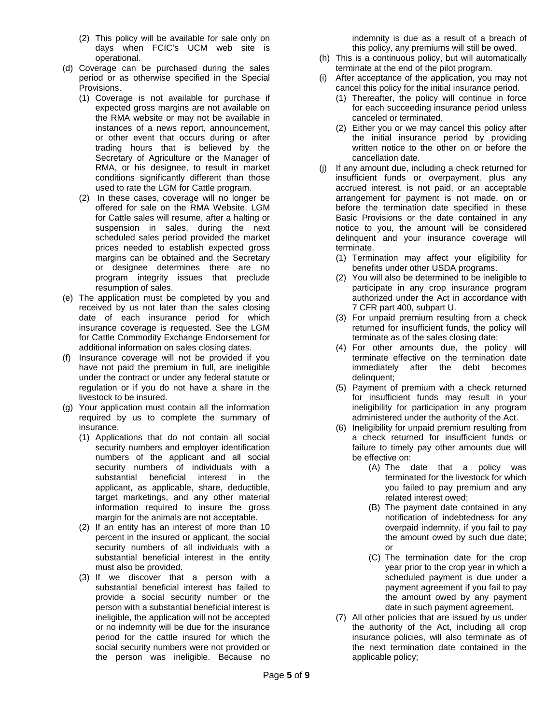- (2) This policy will be available for sale only on days when FCIC's UCM web site is operational.
- (d) Coverage can be purchased during the sales period or as otherwise specified in the Special Provisions.
	- (1) Coverage is not available for purchase if expected gross margins are not available on the RMA website or may not be available in instances of a news report, announcement, or other event that occurs during or after trading hours that is believed by the Secretary of Agriculture or the Manager of RMA, or his designee, to result in market conditions significantly different than those used to rate the LGM for Cattle program.
	- (2) In these cases, coverage will no longer be offered for sale on the RMA Website. LGM for Cattle sales will resume, after a halting or suspension in sales, during the next scheduled sales period provided the market prices needed to establish expected gross margins can be obtained and the Secretary or designee determines there are no program integrity issues that preclude resumption of sales.
- (e) The application must be completed by you and received by us not later than the sales closing date of each insurance period for which insurance coverage is requested. See the LGM for Cattle Commodity Exchange Endorsement for additional information on sales closing dates.
- (f) Insurance coverage will not be provided if you have not paid the premium in full, are ineligible under the contract or under any federal statute or regulation or if you do not have a share in the livestock to be insured.
- (g) Your application must contain all the information required by us to complete the summary of insurance.
	- (1) Applications that do not contain all social security numbers and employer identification numbers of the applicant and all social security numbers of individuals with a substantial beneficial interest in the applicant, as applicable, share, deductible, target marketings, and any other material information required to insure the gross margin for the animals are not acceptable.
	- (2) If an entity has an interest of more than 10 percent in the insured or applicant, the social security numbers of all individuals with a substantial beneficial interest in the entity must also be provided.
	- (3) If we discover that a person with a substantial beneficial interest has failed to provide a social security number or the person with a substantial beneficial interest is ineligible, the application will not be accepted or no indemnity will be due for the insurance period for the cattle insured for which the social security numbers were not provided or the person was ineligible. Because no

indemnity is due as a result of a breach of this policy, any premiums will still be owed.

- (h) This is a continuous policy, but will automatically terminate at the end of the pilot program.
- (i) After acceptance of the application, you may not cancel this policy for the initial insurance period.
	- (1) Thereafter, the policy will continue in force for each succeeding insurance period unless canceled or terminated.
	- (2) Either you or we may cancel this policy after the initial insurance period by providing written notice to the other on or before the cancellation date.
- (j) If any amount due, including a check returned for insufficient funds or overpayment, plus any accrued interest, is not paid, or an acceptable arrangement for payment is not made, on or before the termination date specified in these Basic Provisions or the date contained in any notice to you, the amount will be considered delinquent and your insurance coverage will terminate.
	- (1) Termination may affect your eligibility for benefits under other USDA programs.
	- (2) You will also be determined to be ineligible to participate in any crop insurance program authorized under the Act in accordance with 7 CFR part 400, subpart U.
	- (3) For unpaid premium resulting from a check returned for insufficient funds, the policy will terminate as of the sales closing date;
	- (4) For other amounts due, the policy will terminate effective on the termination date immediately after the debt becomes delinquent;
	- (5) Payment of premium with a check returned for insufficient funds may result in your ineligibility for participation in any program administered under the authority of the Act.
	- (6) Ineligibility for unpaid premium resulting from a check returned for insufficient funds or failure to timely pay other amounts due will be effective on:
		- (A) The date that a policy was terminated for the livestock for which you failed to pay premium and any related interest owed;
		- (B) The payment date contained in any notification of indebtedness for any overpaid indemnity, if you fail to pay the amount owed by such due date; or
		- (C) The termination date for the crop year prior to the crop year in which a scheduled payment is due under a payment agreement if you fail to pay the amount owed by any payment date in such payment agreement.
	- (7) All other policies that are issued by us under the authority of the Act, including all crop insurance policies, will also terminate as of the next termination date contained in the applicable policy;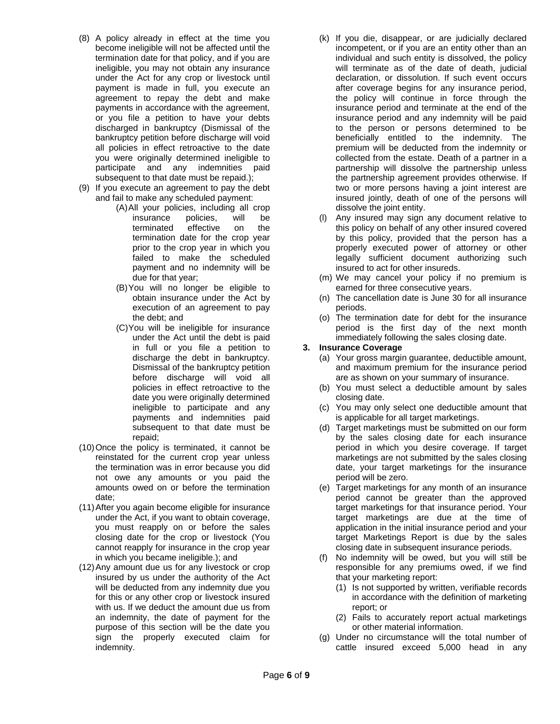- (8) A policy already in effect at the time you become ineligible will not be affected until the termination date for that policy, and if you are ineligible, you may not obtain any insurance under the Act for any crop or livestock until payment is made in full, you execute an agreement to repay the debt and make payments in accordance with the agreement, or you file a petition to have your debts discharged in bankruptcy (Dismissal of the bankruptcy petition before discharge will void all policies in effect retroactive to the date you were originally determined ineligible to participate and any indemnities paid subsequent to that date must be repaid.);
- (9) If you execute an agreement to pay the debt and fail to make any scheduled payment:
	- (A)All your policies, including all crop insurance policies, will be<br>terminated effective on the terminated effective on the termination date for the crop year prior to the crop year in which you failed to make the scheduled payment and no indemnity will be due for that year;
	- (B)You will no longer be eligible to obtain insurance under the Act by execution of an agreement to pay the debt; and
	- (C)You will be ineligible for insurance under the Act until the debt is paid in full or you file a petition to discharge the debt in bankruptcy. Dismissal of the bankruptcy petition before discharge will void all policies in effect retroactive to the date you were originally determined ineligible to participate and any payments and indemnities paid subsequent to that date must be repaid;
- (10)Once the policy is terminated, it cannot be reinstated for the current crop year unless the termination was in error because you did not owe any amounts or you paid the amounts owed on or before the termination date;
- (11)After you again become eligible for insurance under the Act, if you want to obtain coverage, you must reapply on or before the sales closing date for the crop or livestock (You cannot reapply for insurance in the crop year in which you became ineligible.); and
- (12)Any amount due us for any livestock or crop insured by us under the authority of the Act will be deducted from any indemnity due you for this or any other crop or livestock insured with us. If we deduct the amount due us from an indemnity, the date of payment for the purpose of this section will be the date you sign the properly executed claim for indemnity.
- (k) If you die, disappear, or are judicially declared incompetent, or if you are an entity other than an individual and such entity is dissolved, the policy will terminate as of the date of death, judicial declaration, or dissolution. If such event occurs after coverage begins for any insurance period, the policy will continue in force through the insurance period and terminate at the end of the insurance period and any indemnity will be paid to the person or persons determined to be beneficially entitled to the indemnity. The premium will be deducted from the indemnity or collected from the estate. Death of a partner in a partnership will dissolve the partnership unless the partnership agreement provides otherwise. If two or more persons having a joint interest are insured jointly, death of one of the persons will dissolve the joint entity.
- (l) Any insured may sign any document relative to this policy on behalf of any other insured covered by this policy, provided that the person has a properly executed power of attorney or other legally sufficient document authorizing such insured to act for other insureds.
- (m) We may cancel your policy if no premium is earned for three consecutive years.
- (n) The cancellation date is June 30 for all insurance periods.
- (o) The termination date for debt for the insurance period is the first day of the next month immediately following the sales closing date.

# **3. Insurance Coverage**

- (a) Your gross margin guarantee, deductible amount, and maximum premium for the insurance period are as shown on your summary of insurance.
- (b) You must select a deductible amount by sales closing date.
- (c) You may only select one deductible amount that is applicable for all target marketings.
- (d) Target marketings must be submitted on our form by the sales closing date for each insurance period in which you desire coverage. If target marketings are not submitted by the sales closing date, your target marketings for the insurance period will be zero.
- (e) Target marketings for any month of an insurance period cannot be greater than the approved target marketings for that insurance period. Your target marketings are due at the time of application in the initial insurance period and your target Marketings Report is due by the sales closing date in subsequent insurance periods.
- (f) No indemnity will be owed, but you will still be responsible for any premiums owed, if we find that your marketing report:
	- (1) Is not supported by written, verifiable records in accordance with the definition of marketing report; or
	- (2) Fails to accurately report actual marketings or other material information.
- (g) Under no circumstance will the total number of cattle insured exceed 5,000 head in any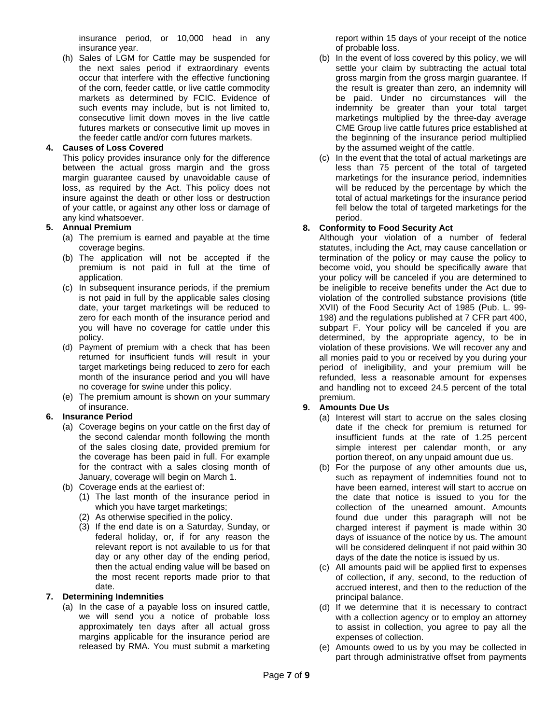insurance period, or 10,000 head in any insurance year.

(h) Sales of LGM for Cattle may be suspended for the next sales period if extraordinary events occur that interfere with the effective functioning of the corn, feeder cattle, or live cattle commodity markets as determined by FCIC. Evidence of such events may include, but is not limited to, consecutive limit down moves in the live cattle futures markets or consecutive limit up moves in the feeder cattle and/or corn futures markets.

### **4. Causes of Loss Covered**

This policy provides insurance only for the difference between the actual gross margin and the gross margin guarantee caused by unavoidable cause of loss, as required by the Act. This policy does not insure against the death or other loss or destruction of your cattle, or against any other loss or damage of any kind whatsoever.

### **5. Annual Premium**

- (a) The premium is earned and payable at the time coverage begins.
- (b) The application will not be accepted if the premium is not paid in full at the time of application.
- (c) In subsequent insurance periods, if the premium is not paid in full by the applicable sales closing date, your target marketings will be reduced to zero for each month of the insurance period and you will have no coverage for cattle under this policy.
- (d) Payment of premium with a check that has been returned for insufficient funds will result in your target marketings being reduced to zero for each month of the insurance period and you will have no coverage for swine under this policy.
- (e) The premium amount is shown on your summary of insurance.

### **6. Insurance Period**

- (a) Coverage begins on your cattle on the first day of the second calendar month following the month of the sales closing date, provided premium for the coverage has been paid in full. For example for the contract with a sales closing month of January, coverage will begin on March 1.
- (b) Coverage ends at the earliest of:
	- (1) The last month of the insurance period in which you have target marketings;
	- (2) As otherwise specified in the policy.
	- (3) If the end date is on a Saturday, Sunday, or federal holiday, or, if for any reason the relevant report is not available to us for that day or any other day of the ending period, then the actual ending value will be based on the most recent reports made prior to that date.

### **7. Determining Indemnities**

(a) In the case of a payable loss on insured cattle, we will send you a notice of probable loss approximately ten days after all actual gross margins applicable for the insurance period are released by RMA. You must submit a marketing report within 15 days of your receipt of the notice of probable loss.

- (b) In the event of loss covered by this policy, we will settle your claim by subtracting the actual total gross margin from the gross margin guarantee. If the result is greater than zero, an indemnity will be paid. Under no circumstances will the indemnity be greater than your total target marketings multiplied by the three-day average CME Group live cattle futures price established at the beginning of the insurance period multiplied by the assumed weight of the cattle.
- (c) In the event that the total of actual marketings are less than 75 percent of the total of targeted marketings for the insurance period, indemnities will be reduced by the percentage by which the total of actual marketings for the insurance period fell below the total of targeted marketings for the period.

### **8. Conformity to Food Security Act**

Although your violation of a number of federal statutes, including the Act, may cause cancellation or termination of the policy or may cause the policy to become void, you should be specifically aware that your policy will be canceled if you are determined to be ineligible to receive benefits under the Act due to violation of the controlled substance provisions (title XVII) of the Food Security Act of 1985 (Pub. L. 99- 198) and the regulations published at 7 CFR part 400, subpart F. Your policy will be canceled if you are determined, by the appropriate agency, to be in violation of these provisions. We will recover any and all monies paid to you or received by you during your period of ineligibility, and your premium will be refunded, less a reasonable amount for expenses and handling not to exceed 24.5 percent of the total premium.

### **9. Amounts Due Us**

- (a) Interest will start to accrue on the sales closing date if the check for premium is returned for insufficient funds at the rate of 1.25 percent simple interest per calendar month, or any portion thereof, on any unpaid amount due us.
- (b) For the purpose of any other amounts due us, such as repayment of indemnities found not to have been earned, interest will start to accrue on the date that notice is issued to you for the collection of the unearned amount. Amounts found due under this paragraph will not be charged interest if payment is made within 30 days of issuance of the notice by us. The amount will be considered delinquent if not paid within 30 days of the date the notice is issued by us.
- (c) All amounts paid will be applied first to expenses of collection, if any, second, to the reduction of accrued interest, and then to the reduction of the principal balance.
- (d) If we determine that it is necessary to contract with a collection agency or to employ an attorney to assist in collection, you agree to pay all the expenses of collection.
- (e) Amounts owed to us by you may be collected in part through administrative offset from payments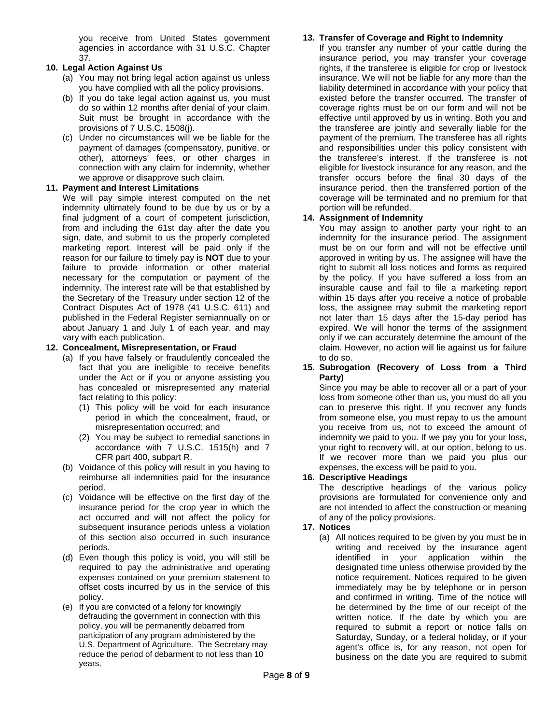you receive from United States government agencies in accordance with 31 U.S.C. Chapter 37.

### **10. Legal Action Against Us**

- (a) You may not bring legal action against us unless you have complied with all the policy provisions.
- (b) If you do take legal action against us, you must do so within 12 months after denial of your claim. Suit must be brought in accordance with the provisions of 7 U.S.C. 1508(j).
- (c) Under no circumstances will we be liable for the payment of damages (compensatory, punitive, or other), attorneys' fees, or other charges in connection with any claim for indemnity, whether we approve or disapprove such claim.

### **11. Payment and Interest Limitations**

We will pay simple interest computed on the net indemnity ultimately found to be due by us or by a final judgment of a court of competent jurisdiction, from and including the 61st day after the date you sign, date, and submit to us the properly completed marketing report. Interest will be paid only if the reason for our failure to timely pay is **NOT** due to your failure to provide information or other material necessary for the computation or payment of the indemnity. The interest rate will be that established by the Secretary of the Treasury under section 12 of the Contract Disputes Act of 1978 (41 U.S.C. 611) and published in the Federal Register semiannually on or about January 1 and July 1 of each year, and may vary with each publication.

### **12. Concealment, Misrepresentation, or Fraud**

- (a) If you have falsely or fraudulently concealed the fact that you are ineligible to receive benefits under the Act or if you or anyone assisting you has concealed or misrepresented any material fact relating to this policy:
	- (1) This policy will be void for each insurance period in which the concealment, fraud, or misrepresentation occurred; and
	- (2) You may be subject to remedial sanctions in accordance with 7 U.S.C. 1515(h) and 7 CFR part 400, subpart R.
- (b) Voidance of this policy will result in you having to reimburse all indemnities paid for the insurance period.
- (c) Voidance will be effective on the first day of the insurance period for the crop year in which the act occurred and will not affect the policy for subsequent insurance periods unless a violation of this section also occurred in such insurance periods.
- (d) Even though this policy is void, you will still be required to pay the administrative and operating expenses contained on your premium statement to offset costs incurred by us in the service of this policy.
- (e) If you are convicted of a felony for knowingly defrauding the government in connection with this policy, you will be permanently debarred from participation of any program administered by the U.S. Department of Agriculture. The Secretary may reduce the period of debarment to not less than 10 years.

### **13. Transfer of Coverage and Right to Indemnity**

If you transfer any number of your cattle during the insurance period, you may transfer your coverage rights, if the transferee is eligible for crop or livestock insurance. We will not be liable for any more than the liability determined in accordance with your policy that existed before the transfer occurred. The transfer of coverage rights must be on our form and will not be effective until approved by us in writing. Both you and the transferee are jointly and severally liable for the payment of the premium. The transferee has all rights and responsibilities under this policy consistent with the transferee's interest. If the transferee is not eligible for livestock insurance for any reason, and the transfer occurs before the final 30 days of the insurance period, then the transferred portion of the coverage will be terminated and no premium for that portion will be refunded.

### **14. Assignment of Indemnity**

You may assign to another party your right to an indemnity for the insurance period. The assignment must be on our form and will not be effective until approved in writing by us. The assignee will have the right to submit all loss notices and forms as required by the policy. If you have suffered a loss from an insurable cause and fail to file a marketing report within 15 days after you receive a notice of probable loss, the assignee may submit the marketing report not later than 15 days after the 15-day period has expired. We will honor the terms of the assignment only if we can accurately determine the amount of the claim. However, no action will lie against us for failure to do so.

### **15. Subrogation (Recovery of Loss from a Third Party)**

Since you may be able to recover all or a part of your loss from someone other than us, you must do all you can to preserve this right. If you recover any funds from someone else, you must repay to us the amount you receive from us, not to exceed the amount of indemnity we paid to you. If we pay you for your loss, your right to recovery will, at our option, belong to us. If we recover more than we paid you plus our expenses, the excess will be paid to you.

### **16. Descriptive Headings**

The descriptive headings of the various policy provisions are formulated for convenience only and are not intended to affect the construction or meaning of any of the policy provisions.

### **17. Notices**

(a) All notices required to be given by you must be in writing and received by the insurance agent identified in your application within the designated time unless otherwise provided by the notice requirement. Notices required to be given immediately may be by telephone or in person and confirmed in writing. Time of the notice will be determined by the time of our receipt of the written notice. If the date by which you are required to submit a report or notice falls on Saturday, Sunday, or a federal holiday, or if your agent's office is, for any reason, not open for business on the date you are required to submit